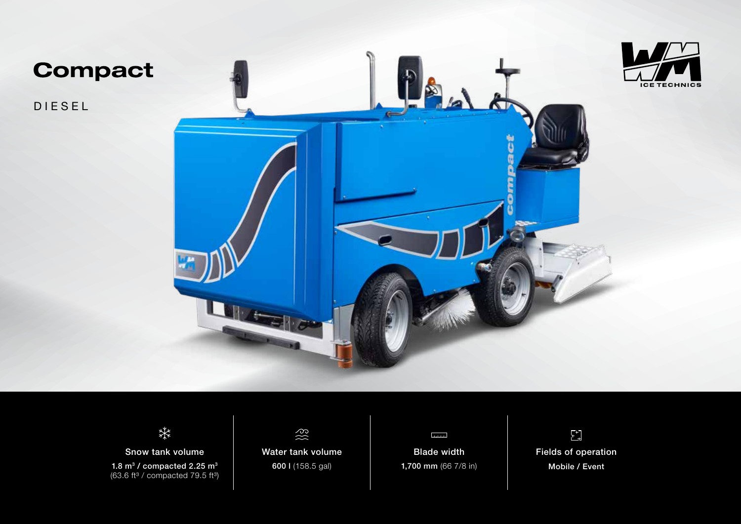

**Compact** 

DIESEL





Snow tank volume 1.8  $m<sup>3</sup>$  / compacted 2.25  $m<sup>3</sup>$  $(63.6 \text{ ft}^3 / \text{compacted } 79.5 \text{ ft}^3)$ 



Water tank volume 600 l (158.5 gal)



Blade width 1,700 mm (66 7/8 in)

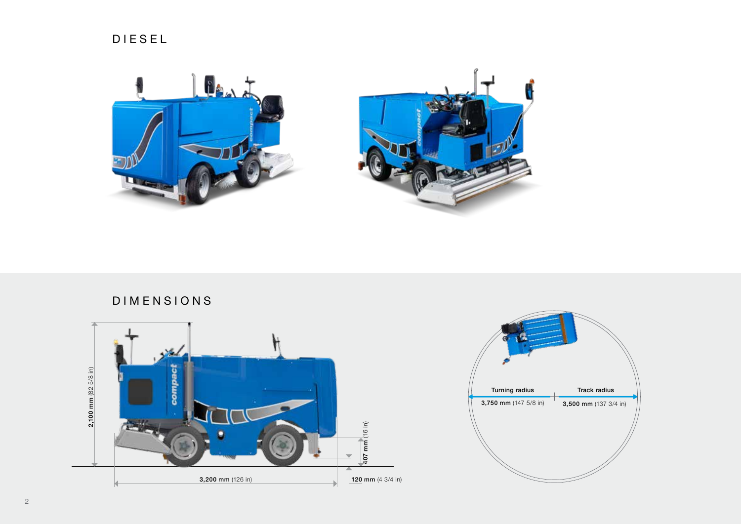



DIMENSIONS



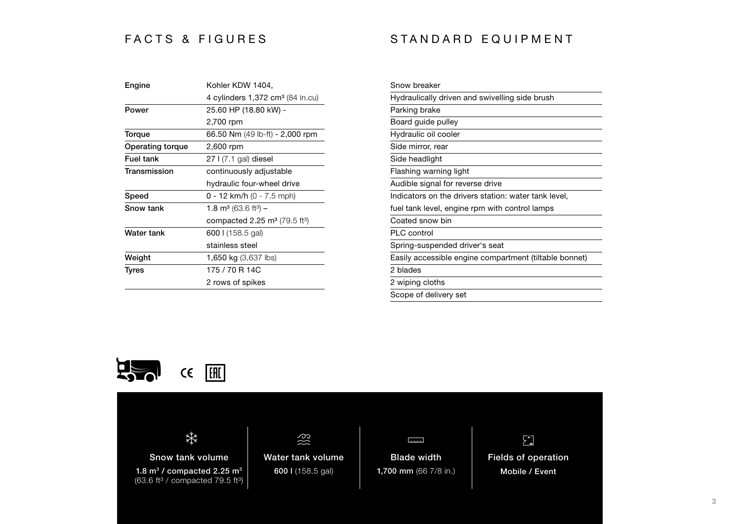## FACTS & FIGURES STANDARD EQUIPMENT

| Engine                  | Kohler KDW 1404,                                    |
|-------------------------|-----------------------------------------------------|
|                         | 4 cylinders 1,372 cm <sup>3</sup> (84 in.cu)        |
| Power                   | 25.60 HP (18.80 kW) -                               |
|                         | 2,700 rpm                                           |
| Torque                  | 66.50 Nm (49 lb-ft) - 2,000 rpm                     |
| <b>Operating torque</b> | 2,600 rpm                                           |
| <b>Fuel tank</b>        | 27 I (7.1 gal) diesel                               |
| Transmission            | continuously adjustable                             |
|                         | hydraulic four-wheel drive                          |
| Speed                   | $0 - 12$ km/h (0 - 7.5 mph)                         |
| Snow tank               | 1.8 m <sup>3</sup> (63.6 ft <sup>3</sup> ) –        |
|                         | compacted 2.25 $\text{m}^3$ (79.5 ft <sup>3</sup> ) |
| Water tank              | 600 l (158.5 gal)                                   |
|                         | stainless steel                                     |
| Weight                  | <b>1,650 kg</b> (3,637 lbs)                         |
| <b>Tyres</b>            | 175 / 70 R 14C                                      |
|                         | 2 rows of spikes                                    |

| Snow breaker                                           |
|--------------------------------------------------------|
| Hydraulically driven and swivelling side brush         |
| Parking brake                                          |
| Board guide pulley                                     |
| Hydraulic oil cooler                                   |
| Side mirror, rear                                      |
| Side headlight                                         |
| Flashing warning light                                 |
| Audible signal for reverse drive                       |
| Indicators on the drivers station: water tank level,   |
| fuel tank level, engine rpm with control lamps         |
| Coated snow bin                                        |
| <b>PLC</b> control                                     |
| Spring-suspended driver's seat                         |
| Easily accessible engine compartment (tiltable bonnet) |
| 2 blades                                               |
| 2 wiping cloths                                        |
| Scope of delivery set                                  |